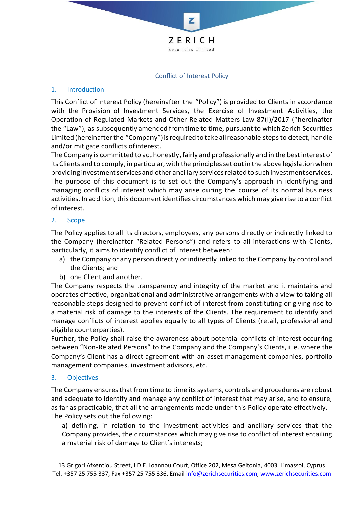

### Conflict of Interest Policy

## 1. Introduction

This Conflict of Interest Policy (hereinafter the "Policy") is provided to Clients in accordance with the Provision of Investment Services, the Exercise of Investment Activities, the Operation of Regulated Markets and Other Related Matters Law 87(I)/2017 ("hereinafter the "Law"), as subsequently amended from time to time, pursuant to which Zerich Securities Limited (hereinafter the "Company") is required to take all reasonable steps to detect, handle and/or mitigate conflicts ofinterest.

The Company is committed to act honestly, fairly and professionally and in the bestinterest of its Clients and to comply, in particular, with the principlesset outin the above legislation when providing investment services and other ancillary services related to such investment services. The purpose of this document is to set out the Company's approach in identifying and managing conflicts of interest which may arise during the course of its normal business activities. In addition, this document identifies circumstances which may give rise to a conflict of interest.

# 2. Scope

The Policy applies to all its directors, employees, any persons directly or indirectly linked to the Company (hereinafter "Related Persons") and refers to all interactions with Clients, particularly, it aims to identify conflict of interest between:

- a) the Company or any person directly or indirectly linked to the Company by control and the Clients; and
- b) one Client and another.

The Company respects the transparency and integrity of the market and it maintains and operates effective, organizational and administrative arrangements with a view to taking all reasonable steps designed to prevent conflict of interest from constituting or giving rise to a material risk of damage to the interests of the Clients. The requirement to identify and manage conflicts of interest applies equally to all types of Clients (retail, professional and eligible counterparties).

Further, the Policy shall raise the awareness about potential conflicts of interest occurring between "Non-Related Persons" to the Company and the Company's Clients, i. e. where the Company's Client has a direct agreement with an asset management companies, portfolio management companies, investment advisors, etc.

### 3. Objectives

The Company ensures that from time to time its systems, controls and procedures are robust and adequate to identify and manage any conflict of interest that may arise, and to ensure, as far as practicable, that all the arrangements made under this Policy operate effectively. The Policy sets out the following:

a) defining, in relation to the investment activities and ancillary services that the Company provides, the circumstances which may give rise to conflict of interest entailing a material risk of damage to Client's interests;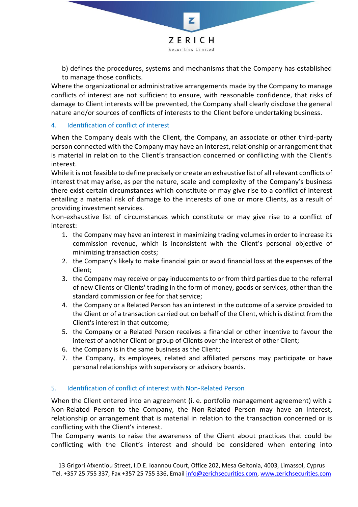

b) defines the procedures, systems and mechanisms that the Company has established to manage those conflicts.

Where the organizational or administrative arrangements made by the Company to manage conflicts of interest are not sufficient to ensure, with reasonable confidence, that risks of damage to Client interests will be prevented, the Company shall clearly disclose the general nature and/or sources of conflicts of interests to the Client before undertaking business.

# 4. Identification of conflict of interest

When the Company deals with the Client, the Company, an associate or other third-party person connected with the Company may have an interest, relationship or arrangement that is material in relation to the Client's transaction concerned or conflicting with the Client's interest.

While it is not feasible to define precisely or create an exhaustive list of all relevant conflicts of interest that may arise, as per the nature, scale and complexity of the Company's business there exist certain circumstances which constitute or may give rise to a conflict of interest entailing a material risk of damage to the interests of one or more Clients, as a result of providing investment services.

Non-exhaustive list of circumstances which constitute or may give rise to a conflict of interest:

- 1. the Company may have an interest in maximizing trading volumes in order to increase its commission revenue, which is inconsistent with the Client's personal objective of minimizing transaction costs;
- 2. the Company's likely to make financial gain or avoid financial loss at the expenses of the Client;
- 3. the Company may receive or pay inducements to or from third parties due to the referral of new Clients or Clients' trading in the form of money, goods or services, other than the standard commission or fee for that service;
- 4. the Company or a Related Person has an interest in the outcome of a service provided to the Client or of a transaction carried out on behalf of the Client, which is distinct from the Client's interest in that outcome;
- 5. the Company or a Related Person receives a financial or other incentive to favour the interest of another Client or group of Clients over the interest of other Client;
- 6. the Company is in the same business as the Client;
- 7. the Company, its employees, related and affiliated persons may participate or have personal relationships with supervisory or advisory boards.

### 5. Identification of conflict of interest with Non-Related Person

When the Client entered into an agreement (i. e. portfolio management agreement) with a Non-Related Person to the Company, the Non-Related Person may have an interest, relationship or arrangement that is material in relation to the transaction concerned or is conflicting with the Client's interest.

The Company wants to raise the awareness of the Client about practices that could be conflicting with the Client's interest and should be considered when entering into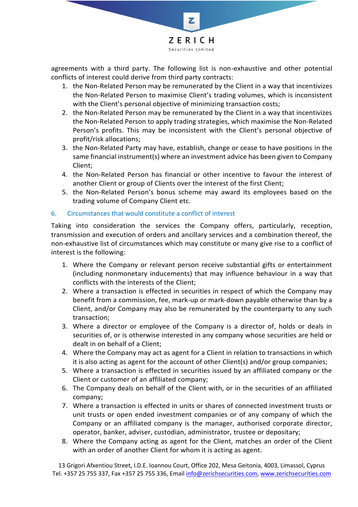

agreements with a third party. The following list is non-exhaustive and other potential conflicts of interest could derive from third party contracts:

- 1. the Non-Related Person may be remunerated by the Client in a way that incentivizes the Non-Related Person to maximise Client's trading volumes, which is inconsistent with the Client's personal objective of minimizing transaction costs;
- 2. the Non-Related Person may be remunerated by the Client in a way that incentivizes the Non-Related Person to apply trading strategies, which maximise the Non-Related Person's profits. This may be inconsistent with the Client's personal objective of profit/risk allocations;
- 3. the Non-Related Party may have, establish, change or cease to have positions in the same financial instrument(s) where an investment advice has been given to Company Client;
- 4. the Non-Related Person has financial or other incentive to favour the interest of another Client or group of Clients over the interest of the first Client;
- 5. the Non-Related Person's bonus scheme may award its employees based on the trading volume of Company Client etc.

# 6. Circumstances that would constitute a conflict of interest

Taking into consideration the services the Company offers, particularly, reception, transmission and execution of orders and ancillary services and a combination thereof, the non-exhaustive list of circumstances which may constitute or many give rise to a conflict of interest is the following:

- 1. Where the Company or relevant person receive substantial gifts or entertainment (including nonmonetary inducements) that may influence behaviour in a way that conflicts with the interests of the Client;
- 2. Where a transaction is effected in securities in respect of which the Company may benefit from a commission, fee, mark-up or mark-down payable otherwise than by a Client, and/or Company may also be remunerated by the counterparty to any such transaction;
- 3. Where a director or employee of the Company is a director of, holds or deals in securities of, or is otherwise interested in any company whose securities are held or dealt in on behalf of a Client;
- 4. Where the Company may act as agent for a Client in relation to transactions in which it is also acting as agent for the account of other Client(s) and/or group companies;
- 5. Where a transaction is effected in securities issued by an affiliated company or the Client or customer of an affiliated company;
- 6. The Company deals on behalf of the Client with, or in the securities of an affiliated company;
- 7. Where a transaction is effected in units or shares of connected investment trusts or unit trusts or open ended investment companies or of any company of which the Company or an affiliated company is the manager, authorised corporate director, operator, banker, adviser, custodian, administrator, trustee or depositary;
- 8. Where the Company acting as agent for the Client, matches an order of the Client with an order of another Client for whom it is acting as agent.

13 Grigori Afxentiou Street, I.D.E. Ioannou Court, Office 202, Mesa Geitonia, 4003, Limassol, Cyprus Tel. +357 25 755 337, Fax +357 25 755 336, Email [info@zerichsecurities.com,](mailto:info@zerichsecurities.com) [www.zerichsecurities.com](http://www.zerichsecurities.com/)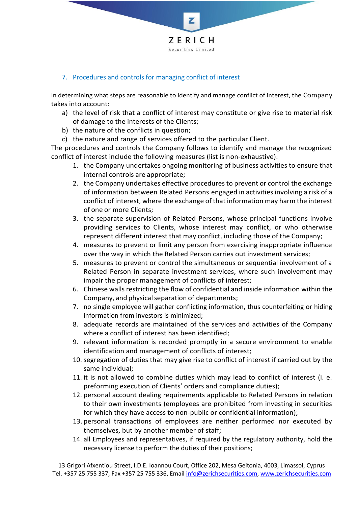

## 7. Procedures and controls for managing conflict of interest

In determining what steps are reasonable to identify and manage conflict of interest, the Company takes into account:

- a) the level of risk that a conflict of interest may constitute or give rise to material risk of damage to the interests of the Clients;
- b) the nature of the conflicts in question;
- c) the nature and range of services offered to the particular Client.

The procedures and controls the Company follows to identify and manage the recognized conflict of interest include the following measures (list is non-exhaustive):

- 1. the Company undertakes ongoing monitoring of business activities to ensure that internal controls are appropriate;
- 2. the Company undertakes effective procedures to prevent or control the exchange of information between Related Persons engaged in activities involving a risk of a conflict of interest, where the exchange of that information may harm the interest of one or more Clients;
- 3. the separate supervision of Related Persons, whose principal functions involve providing services to Clients, whose interest may conflict, or who otherwise represent different interest that may conflict, including those of the Company;
- 4. measures to prevent or limit any person from exercising inappropriate influence over the way in which the Related Person carries out investment services;
- 5. measures to prevent or control the simultaneous or sequential involvement of a Related Person in separate investment services, where such involvement may impair the proper management of conflicts of interest;
- 6. Chinese walls restricting the flow of confidential and inside information within the Company, and physical separation of departments;
- 7. no single employee will gather conflicting information, thus counterfeiting or hiding information from investors is minimized;
- 8. adequate records are maintained of the services and activities of the Company where a conflict of interest has been identified;
- 9. relevant information is recorded promptly in a secure environment to enable identification and management of conflicts of interest;
- 10. segregation of duties that may give rise to conflict of interest if carried out by the same individual;
- 11. it is not allowed to combine duties which may lead to conflict of interest (i. e. preforming execution of Clients' orders and compliance duties);
- 12. personal account dealing requirements applicable to Related Persons in relation to their own investments (employees are prohibited from investing in securities for which they have access to non-public or confidential information);
- 13. personal transactions of employees are neither performed nor executed by themselves, but by another member of staff;
- 14. all Employees and representatives, if required by the regulatory authority, hold the necessary license to perform the duties of their positions;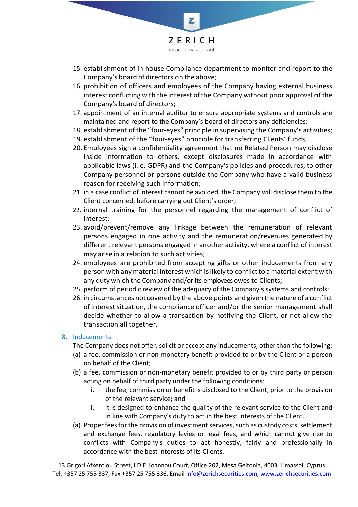

- 15. establishment of in-house Compliance department to monitor and report to the Company's board of directors on the above;
- 16. prohibition of officers and employees of the Company having external business interest conflicting with the interest of the Company without prior approval of the Company's board of directors;
- 17. appointment of an internal auditor to ensure appropriate systems and controls are maintained and report to the Company's board of directors any deficiencies;
- 18. establishment of the "four-eyes" principle in supervising the Company's activities;
- 19. establishment of the "four-eyes" principle for transferring Clients' funds;
- 20. Employees sign a confidentiality agreement that no Related Person may disclose inside information to others, except disclosures made in accordance with applicable laws (i. e. GDPR) and the Company's policies and procedures, to other Company personnel or persons outside the Company who have a valid business reason for receiving such information;
- 21. in a case conflict of interest cannot be avoided, the Company will disclose them to the Client concerned, before carrying out Client's order;
- 22. internal training for the personnel regarding the management of conflict of interest;
- 23. avoid/prevent/remove any linkage between the remuneration of relevant persons engaged in one activity and the remuneration/revenues generated by different relevant persons engaged in another activity, where a conflict of interest may arise in a relation to such activities;
- 24. employees are prohibited from accepting gifts or other inducements from any person with anymaterial interest which islikely to conflictto amaterial extent with any duty which the Company and/or its employees owes to Clients;
- 25. perform of periodic review of the adequacy of the Company's systems and controls;
- 26. in circumstances not covered by the above points and given the nature of a conflict of interest situation, the compliance officer and/or the senior management shall decide whether to allow a transaction by notifying the Client, or not allow the transaction all together.

### 8. Inducements

The Company does not offer, solicit or accept any inducements, other than the following:

- (a) a fee, commission or non-monetary benefit provided to or by the Client or a person on behalf of the Client;
- (b) a fee, commission or non-monetary benefit provided to or by third party or person acting on behalf of third party under the following conditions:
	- i. the fee, commission or benefit is disclosed to the Client, prior to the provision of the relevant service; and
	- ii. it is designed to enhance the quality of the relevant service to the Client and in line with Company's duty to act in the best interests of the Client.
- (a) Proper fees for the provision of investment services, such as custody costs, settlement and exchange fees, regulatory levies or legal fees, and which cannot give rise to conflicts with Company's duties to act honestly, fairly and professionally in accordance with the best interests of its Clients.

13 Grigori Afxentiou Street, I.D.E. Ioannou Court, Office 202, Mesa Geitonia, 4003, Limassol, Cyprus Tel. +357 25 755 337, Fax +357 25 755 336, Email [info@zerichsecurities.com,](mailto:info@zerichsecurities.com) [www.zerichsecurities.com](http://www.zerichsecurities.com/)